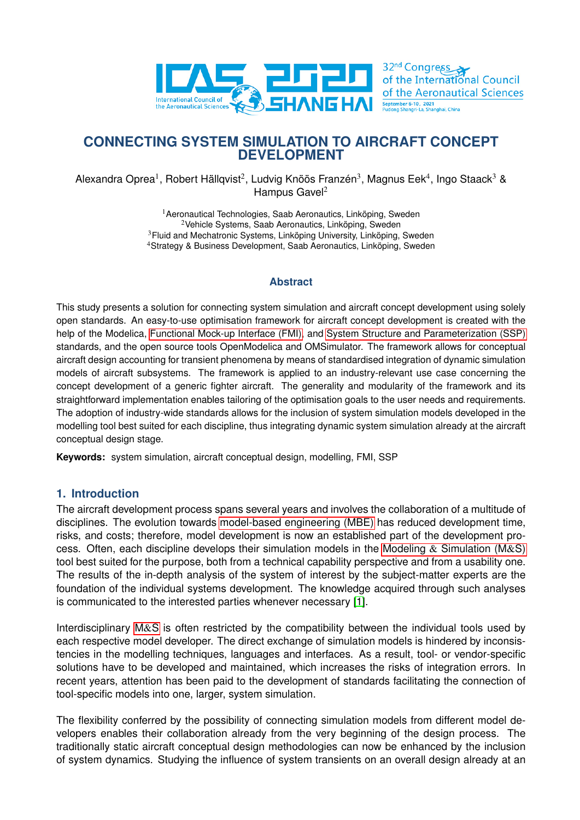<span id="page-0-0"></span>

Alexandra Oprea<sup>1</sup>, Robert Hällqvist<sup>2</sup>, Ludvig Knöös Franzén<sup>3</sup>, Magnus Eek<sup>4</sup>, Ingo Staack<sup>3</sup> & Hampus Gave $l^2$ 

> <sup>1</sup> Aeronautical Technologies, Saab Aeronautics, Linköping, Sweden <sup>2</sup>Vehicle Systems, Saab Aeronautics, Linköping, Sweden <sup>3</sup>Fluid and Mechatronic Systems, Linköping University, Linköping, Sweden <sup>4</sup>Strategy & Business Development, Saab Aeronautics, Linköping, Sweden

### **Abstract**

This study presents a solution for connecting system simulation and aircraft concept development using solely open standards. An easy-to-use optimisation framework for aircraft concept development is created with the help of the Modelica, Functional Mock-up Interface (FMI), and System Structure and Parameterization (SSP) standards, and the open source tools OpenModelica and OMSimulator. The framework allows for conceptual aircraft design accounting for transient phenomena by means of standardised integration of dynamic simulation models of aircraft subsystems. The framework is applied to an industry-relevant use case concerning the concept development of a generic fighter aircraft. The generality and modularity of the framework and its straightforward implementation enables tailoring of the optimisation goals to the user needs and requirements. The adoption of industry-wide standards allows for the inclusion of system simulation models developed in the modelling tool best suited for each discipline, thus integrating dynamic system simulation already at the aircraft conceptual design stage.

**Keywords:** system simulation, aircraft conceptual design, modelling, FMI, SSP

### **1. Introduction**

The aircraft development process spans several years and involves the collaboration of a multitude of disciplines. The evolution towards model-based engineering (MBE) has reduced development time, risks, and costs; therefore, model development is now an established part of the development process. Often, each discipline develops their simulation models in the Modeling  $\&$  Simulation (M&S) tool best suited for the purpose, both from a technical capability perspective and from a usability one. The results of the in-depth analysis of the system of interest by the subject-matter experts are the foundation of the individual systems development. The knowledge acquired through such analyses is communicated to the interested parties whenever necessary [\[1\]](#page-16-0).

Interdisciplinary M&S is often restricted by the compatibility between the individual tools used by each respective model developer. The direct exchange of simulation models is hindered by inconsistencies in the modelling techniques, languages and interfaces. As a result, tool- or vendor-specific solutions have to be developed and maintained, which increases the risks of integration errors. In recent years, attention has been paid to the development of standards facilitating the connection of tool-specific models into one, larger, system simulation.

The flexibility conferred by the possibility of connecting simulation models from different model developers enables their collaboration already from the very beginning of the design process. The traditionally static aircraft conceptual design methodologies can now be enhanced by the inclusion of system dynamics. Studying the influence of system transients on an overall design already at an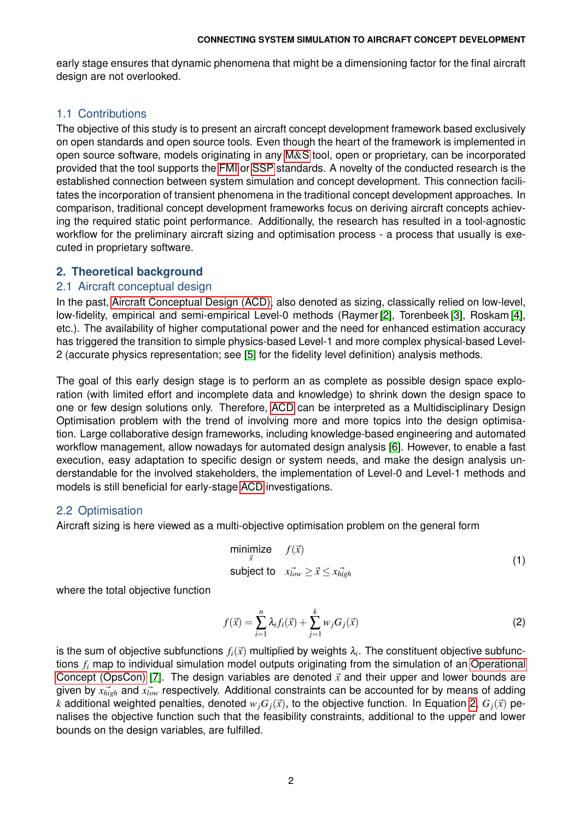early stage ensures that dynamic phenomena that might be a dimensioning factor for the final aircraft design are not overlooked.

# 1.1 Contributions

The objective of this study is to present an aircraft concept development framework based exclusively on open standards and open source tools. Even though the heart of the framework is implemented in open source software, models originating in any [M](#page-0-0)&S tool, open or proprietary, can be incorporated provided that the tool supports the [FMI](#page-0-0) or [SSP](#page-0-0) standards. A novelty of the conducted research is the established connection between system simulation and concept development. This connection facilitates the incorporation of transient phenomena in the traditional concept development approaches. In comparison, traditional concept development frameworks focus on deriving aircraft concepts achieving the required static point performance. Additionally, the research has resulted in a tool-agnostic workflow for the preliminary aircraft sizing and optimisation process - a process that usually is executed in proprietary software.

## **2. Theoretical background**

## 2.1 Aircraft conceptual design

In the past, [Aircraft Conceptual Design \(ACD\),](#page-0-0) also denoted as sizing, classically relied on low-level, low-fidelity, empirical and semi-empirical Level-0 methods (Raymer [\[2\]](#page-16-1), Torenbeek [\[3\]](#page-16-2), Roskam [\[4\]](#page-16-3), etc.). The availability of higher computational power and the need for enhanced estimation accuracy has triggered the transition to simple physics-based Level-1 and more complex physical-based Level-2 (accurate physics representation; see [\[5\]](#page-16-4) for the fidelity level definition) analysis methods.

The goal of this early design stage is to perform an as complete as possible design space exploration (with limited effort and incomplete data and knowledge) to shrink down the design space to one or few design solutions only. Therefore, [ACD](#page-0-0) can be interpreted as a Multidisciplinary Design Optimisation problem with the trend of involving more and more topics into the design optimisation. Large collaborative design frameworks, including knowledge-based engineering and automated workflow management, allow nowadays for automated design analysis [\[6\]](#page-16-5). However, to enable a fast execution, easy adaptation to specific design or system needs, and make the design analysis understandable for the involved stakeholders, the implementation of Level-0 and Level-1 methods and models is still beneficial for early-stage [ACD](#page-0-0) investigations.

# 2.2 Optimisation

<span id="page-1-1"></span>Aircraft sizing is here viewed as a multi-objective optimisation problem on the general form

$$
\begin{array}{ll}\n\text{minimize} & f(\vec{x}) \\
\text{subject to} & x_{low}^{\rightarrow} \geq \vec{x} \leq x_{high} \\
\end{array} \tag{1}
$$

<span id="page-1-0"></span>where the total objective function

$$
f(\vec{x}) = \sum_{i=1}^{n} \lambda_i f_i(\vec{x}) + \sum_{j=1}^{k} w_j G_j(\vec{x})
$$
 (2)

is the sum of objective subfunctions  $f_i(\vec{x})$  multiplied by weights  $\lambda_i.$  The constituent objective subfunctions *f<sup>i</sup>* map to individual simulation model outputs originating from the simulation of an [Operational](#page-0-0) [Concept \(OpsCon\)](#page-0-0) [\[7\]](#page-16-6). The design variables are denoted  $\vec{x}$  and their upper and lower bounds are given by  $\vec{x}_{high}$  and  $\vec{x}_{low}$  respectively. Additional constraints can be accounted for by means of adding *k* additional weighted penalties, denoted  $w_j G_j(\vec{x})$ , to the objective function. In Equation [2,](#page-1-0)  $G_j(\vec{x})$  penalises the objective function such that the feasibility constraints, additional to the upper and lower bounds on the design variables, are fulfilled.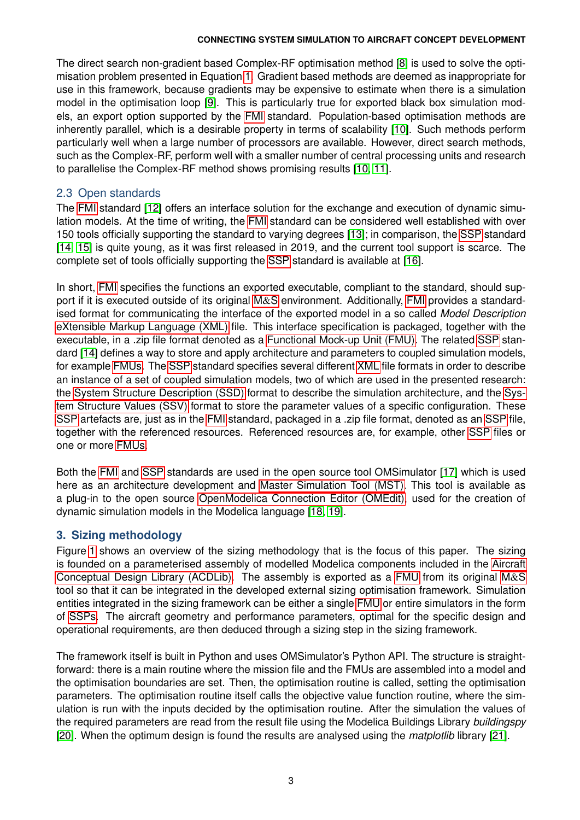The direct search non-gradient based Complex-RF optimisation method [\[8\]](#page-16-7) is used to solve the optimisation problem presented in Equation [1.](#page-1-1) Gradient based methods are deemed as inappropriate for use in this framework, because gradients may be expensive to estimate when there is a simulation model in the optimisation loop [\[9\]](#page-16-8). This is particularly true for exported black box simulation models, an export option supported by the [FMI](#page-0-0) standard. Population-based optimisation methods are inherently parallel, which is a desirable property in terms of scalability [\[10\]](#page-16-9). Such methods perform particularly well when a large number of processors are available. However, direct search methods, such as the Complex-RF, perform well with a smaller number of central processing units and research to parallelise the Complex-RF method shows promising results [\[10,](#page-16-9) [11\]](#page-16-10).

# 2.3 Open standards

The [FMI](#page-0-0) standard [\[12\]](#page-16-11) offers an interface solution for the exchange and execution of dynamic simulation models. At the time of writing, the [FMI](#page-0-0) standard can be considered well established with over 150 tools officially supporting the standard to varying degrees [\[13\]](#page-16-12); in comparison, the [SSP](#page-0-0) standard [\[14,](#page-16-13) [15\]](#page-16-14) is quite young, as it was first released in 2019, and the current tool support is scarce. The complete set of tools officially supporting the [SSP](#page-0-0) standard is available at [\[16\]](#page-16-15).

In short, [FMI](#page-0-0) specifies the functions an exported executable, compliant to the standard, should support if it is executed outside of its original [M](#page-0-0)&S environment. Additionally, [FMI](#page-0-0) provides a standardised format for communicating the interface of the exported model in a so called *Model Description* [eXtensible Markup Language \(XML\)](#page-0-0) file. This interface specification is packaged, together with the executable, in a .zip file format denoted as a [Functional Mock-up Unit \(FMU\).](#page-0-0) The related [SSP](#page-0-0) standard [\[14\]](#page-16-13) defines a way to store and apply architecture and parameters to coupled simulation models, for example [FMUs.](#page-0-0) The [SSP](#page-0-0) standard specifies several different [XML](#page-0-0) file formats in order to describe an instance of a set of coupled simulation models, two of which are used in the presented research: the [System Structure Description \(SSD\)](#page-0-0) format to describe the simulation architecture, and the [Sys](#page-0-0)[tem Structure Values \(SSV\)](#page-0-0) format to store the parameter values of a specific configuration. These [SSP](#page-0-0) artefacts are, just as in the [FMI](#page-0-0) standard, packaged in a .zip file format, denoted as an [SSP](#page-0-0) file, together with the referenced resources. Referenced resources are, for example, other [SSP](#page-0-0) files or one or more [FMUs.](#page-0-0)

Both the [FMI](#page-0-0) and [SSP](#page-0-0) standards are used in the open source tool OMSimulator [\[17\]](#page-16-16) which is used here as an architecture development and [Master Simulation Tool \(MST\).](#page-0-0) This tool is available as a plug-in to the open source [OpenModelica Connection Editor \(OMEdit\),](#page-0-0) used for the creation of dynamic simulation models in the Modelica language [\[18,](#page-16-17) [19\]](#page-16-18).

# **3. Sizing methodology**

Figure [1](#page-3-0) shows an overview of the sizing methodology that is the focus of this paper. The sizing is founded on a parameterised assembly of modelled Modelica components included in the [Aircraft](#page-0-0) [Conceptual Design Library \(ACDLib\).](#page-0-0) The assembly is exported as a [FMU](#page-0-0) from its original [M](#page-0-0)&S tool so that it can be integrated in the developed external sizing optimisation framework. Simulation entities integrated in the sizing framework can be either a single [FMU](#page-0-0) or entire simulators in the form of [SSPs.](#page-0-0) The aircraft geometry and performance parameters, optimal for the specific design and operational requirements, are then deduced through a sizing step in the sizing framework.

The framework itself is built in Python and uses OMSimulator's Python API. The structure is straightforward: there is a main routine where the mission file and the FMUs are assembled into a model and the optimisation boundaries are set. Then, the optimisation routine is called, setting the optimisation parameters. The optimisation routine itself calls the objective value function routine, where the simulation is run with the inputs decided by the optimisation routine. After the simulation the values of the required parameters are read from the result file using the Modelica Buildings Library *buildingspy* [\[20\]](#page-16-19). When the optimum design is found the results are analysed using the *matplotlib* library [\[21\]](#page-16-20).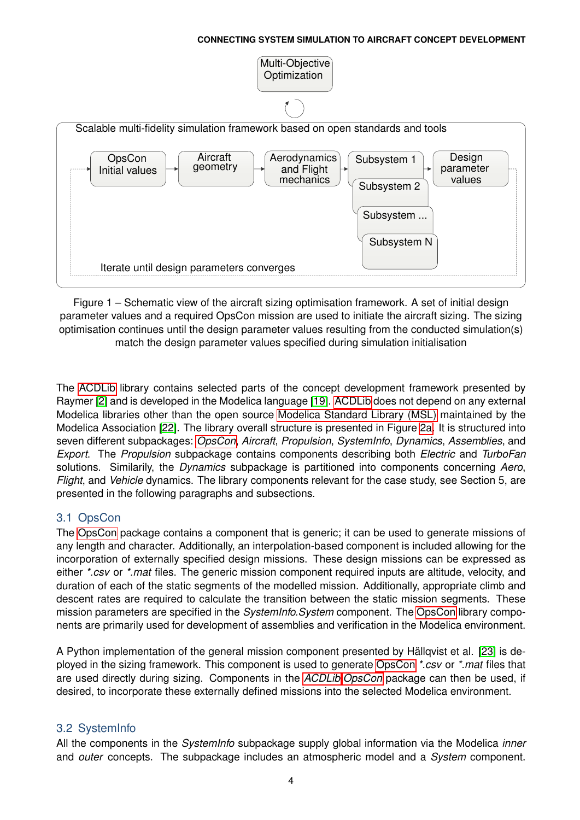<span id="page-3-0"></span>

Figure 1 – Schematic view of the aircraft sizing optimisation framework. A set of initial design parameter values and a required OpsCon mission are used to initiate the aircraft sizing. The sizing optimisation continues until the design parameter values resulting from the conducted simulation(s) match the design parameter values specified during simulation initialisation

The [ACDLib](#page-0-0) library contains selected parts of the concept development framework presented by Raymer [\[2\]](#page-16-1) and is developed in the Modelica language [\[19\]](#page-16-18). [ACDLib](#page-0-0) does not depend on any external Modelica libraries other than the open source [Modelica Standard Library \(MSL\)](#page-0-0) maintained by the Modelica Association [\[22\]](#page-16-21). The library overall structure is presented in Figure [2a.](#page-4-0) It is structured into seven different subpackages: *[OpsCon](#page-0-0)*, *Aircraft*, *Propulsion*, *SystemInfo*, *Dynamics*, *Assemblies*, and *Export*. The *Propulsion* subpackage contains components describing both *Electric* and *TurboFan* solutions. Similarily, the *Dynamics* subpackage is partitioned into components concerning *Aero*, *Flight*, and *Vehicle* dynamics. The library components relevant for the case study, see Section 5, are presented in the following paragraphs and subsections.

# 3.1 OpsCon

The [OpsCon](#page-0-0) package contains a component that is generic; it can be used to generate missions of any length and character. Additionally, an interpolation-based component is included allowing for the incorporation of externally specified design missions. These design missions can be expressed as either *\*.csv* or *\*.mat* files. The generic mission component required inputs are altitude, velocity, and duration of each of the static segments of the modelled mission. Additionally, appropriate climb and descent rates are required to calculate the transition between the static mission segments. These mission parameters are specified in the *SystemInfo.System* component. The [OpsCon](#page-0-0) library components are primarily used for development of assemblies and verification in the Modelica environment.

A Python implementation of the general mission component presented by Hällqvist et al. [\[23\]](#page-16-22) is deployed in the sizing framework. This component is used to generate [OpsCon](#page-0-0) *\*.csv* or *\*.mat* files that are used directly during sizing. Components in the *[ACDLib.OpsCon](#page-0-0)* package can then be used, if desired, to incorporate these externally defined missions into the selected Modelica environment.

# 3.2 SystemInfo

All the components in the *SystemInfo* subpackage supply global information via the Modelica *inner* and *outer* concepts. The subpackage includes an atmospheric model and a *System* component.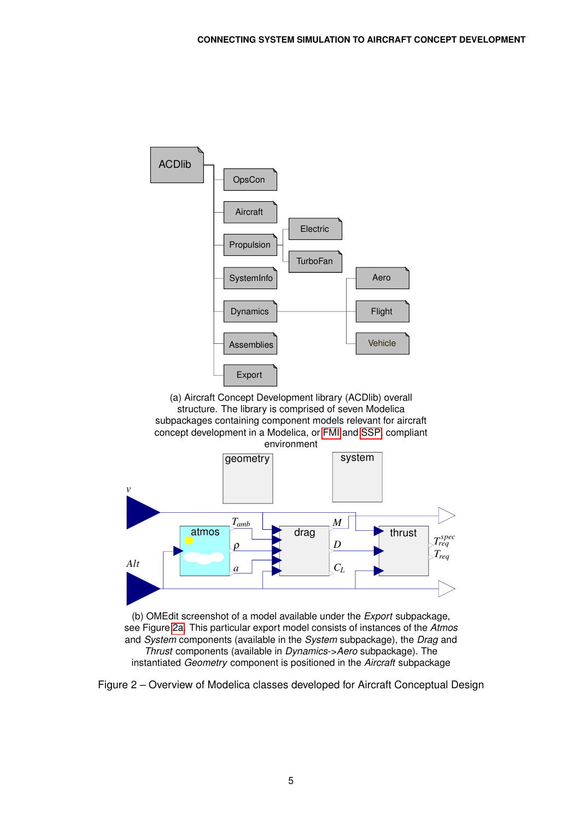<span id="page-4-0"></span>

(b) OMEdit screenshot of a model available under the *Export* subpackage, see Figure [2a.](#page-4-0) This particular export model consists of instances of the *Atmos* and *System* components (available in the *System* subpackage), the *Drag* and *Thrust* components (available in *Dynamics*->*Aero* subpackage). The instantiated *Geometry* component is positioned in the *Aircraft* subpackage

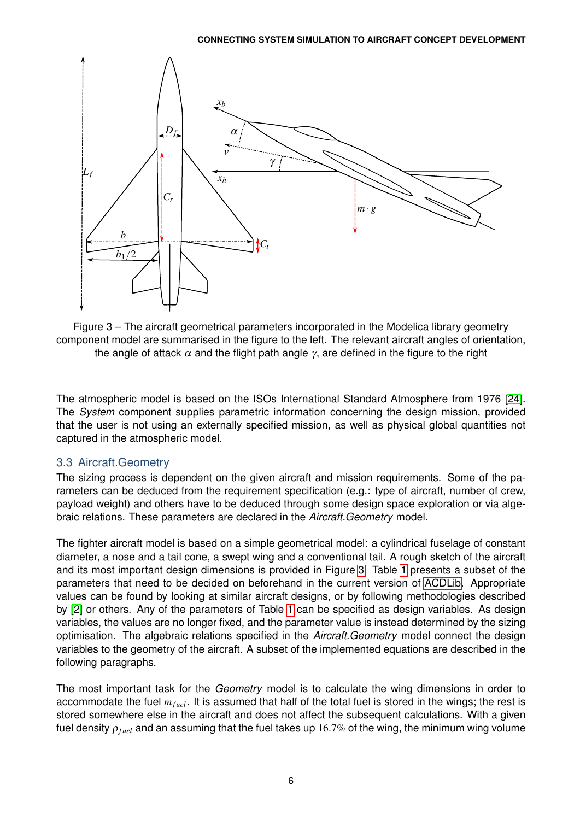<span id="page-5-0"></span>

Figure 3 – The aircraft geometrical parameters incorporated in the Modelica library geometry component model are summarised in the figure to the left. The relevant aircraft angles of orientation, the angle of attack  $\alpha$  and the flight path angle  $\gamma$ , are defined in the figure to the right

The atmospheric model is based on the ISOs International Standard Atmosphere from 1976 [\[24\]](#page-16-23). The *System* component supplies parametric information concerning the design mission, provided that the user is not using an externally specified mission, as well as physical global quantities not captured in the atmospheric model.

# 3.3 Aircraft.Geometry

The sizing process is dependent on the given aircraft and mission requirements. Some of the parameters can be deduced from the requirement specification (e.g.: type of aircraft, number of crew, payload weight) and others have to be deduced through some design space exploration or via algebraic relations. These parameters are declared in the *Aircraft.Geometry* model.

The fighter aircraft model is based on a simple geometrical model: a cylindrical fuselage of constant diameter, a nose and a tail cone, a swept wing and a conventional tail. A rough sketch of the aircraft and its most important design dimensions is provided in Figure [3.](#page-5-0) Table [1](#page-6-0) presents a subset of the parameters that need to be decided on beforehand in the current version of [ACDLib.](#page-0-0) Appropriate values can be found by looking at similar aircraft designs, or by following methodologies described by [\[2\]](#page-16-1) or others. Any of the parameters of Table [1](#page-6-0) can be specified as design variables. As design variables, the values are no longer fixed, and the parameter value is instead determined by the sizing optimisation. The algebraic relations specified in the *Aircraft.Geometry* model connect the design variables to the geometry of the aircraft. A subset of the implemented equations are described in the following paragraphs.

The most important task for the *Geometry* model is to calculate the wing dimensions in order to accommodate the fuel  $m_{fuel}$ . It is assumed that half of the total fuel is stored in the wings; the rest is stored somewhere else in the aircraft and does not affect the subsequent calculations. With a given fuel density  $\rho_{fuel}$  and an assuming that the fuel takes up 16.7% of the wing, the minimum wing volume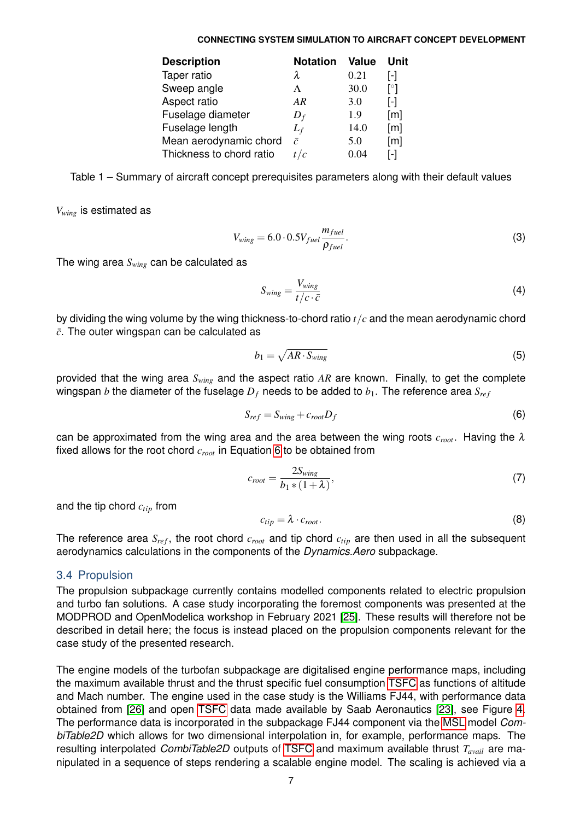<span id="page-6-0"></span>

| <b>Notation</b> | <b>Value</b> | Unit                    |
|-----------------|--------------|-------------------------|
| λ               | 0.21         | $\mathsf{F}$            |
| Λ               | 30.0         | $\lceil^{\circ} \rceil$ |
| AR              | 3.0          | $\mathsf{L}$            |
| $D_f$           | 1.9          | $\lceil m \rceil$       |
| $L_f$           | 14.0         | [m]                     |
| $\bar{c}$       | 5.0          | $\lceil m \rceil$       |
| t/c             | 0.04         | l-l                     |
|                 |              |                         |

Table 1 – Summary of aircraft concept prerequisites parameters along with their default values

*Vwing* is estimated as

$$
V_{wing} = 6.0 \cdot 0.5 V_{fuel} \frac{m_{fuel}}{\rho_{fuel}}.
$$
\n(3)

The wing area *Swing* can be calculated as

$$
S_{wing} = \frac{V_{wing}}{t/c \cdot \bar{c}} \tag{4}
$$

by dividing the wing volume by the wing thickness-to-chord ratio *t*/*c* and the mean aerodynamic chord  $\bar{c}$ . The outer wingspan can be calculated as

<span id="page-6-1"></span>
$$
b_1 = \sqrt{AR \cdot S_{wing}} \tag{5}
$$

provided that the wing area *Swing* and the aspect ratio *AR* are known. Finally, to get the complete wingspan *b* the diameter of the fuselage  $D_f$  needs to be added to  $b_1$ . The reference area  $S_{ref}$ 

$$
S_{ref} = S_{wing} + c_{root} D_f \tag{6}
$$

can be approximated from the wing area and the area between the wing roots  $c_{root}$ . Having the  $\lambda$ fixed allows for the root chord *croot* in Equation [6](#page-6-1) to be obtained from

$$
c_{root} = \frac{2S_{wing}}{b_1 * (1 + \lambda)},\tag{7}
$$

and the tip chord *ctip* from

$$
c_{tip} = \lambda \cdot c_{root}.\tag{8}
$$

The reference area  $S_{ref}$ , the root chord  $c_{root}$  and tip chord  $c_{tip}$  are then used in all the subsequent aerodynamics calculations in the components of the *Dynamics.Aero* subpackage.

### 3.4 Propulsion

The propulsion subpackage currently contains modelled components related to electric propulsion and turbo fan solutions. A case study incorporating the foremost components was presented at the MODPROD and OpenModelica workshop in February 2021 [\[25\]](#page-16-24). These results will therefore not be described in detail here; the focus is instead placed on the propulsion components relevant for the case study of the presented research.

The engine models of the turbofan subpackage are digitalised engine performance maps, including the maximum available thrust and the thrust specific fuel consumption [TSFC](#page-0-0) as functions of altitude and Mach number. The engine used in the case study is the Williams FJ44, with performance data obtained from [\[26\]](#page-16-25) and open [TSFC](#page-0-0) data made available by Saab Aeronautics [\[23\]](#page-16-22), see Figure [4.](#page-7-0) The performance data is incorporated in the subpackage FJ44 component via the [MSL](#page-0-0) model *CombiTable2D* which allows for two dimensional interpolation in, for example, performance maps. The resulting interpolated *CombiTable2D* outputs of [TSFC](#page-0-0) and maximum available thrust *Tavail* are manipulated in a sequence of steps rendering a scalable engine model. The scaling is achieved via a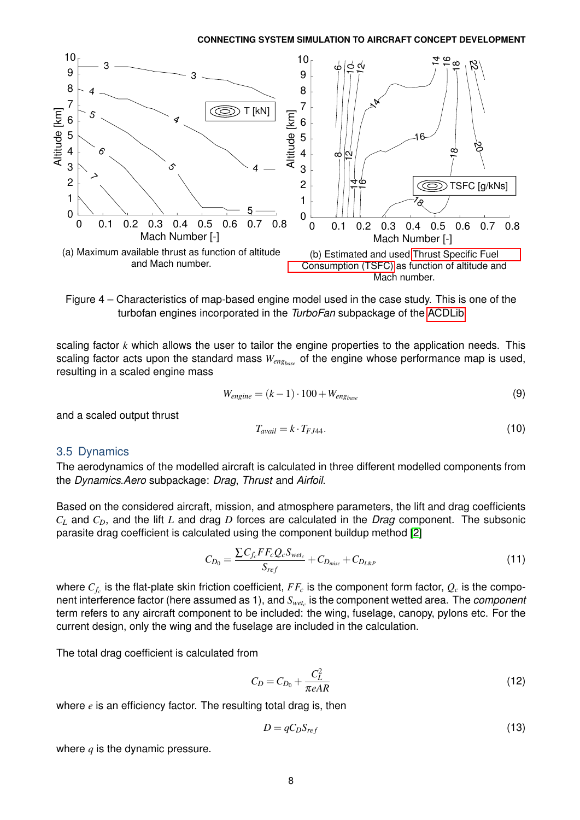<span id="page-7-0"></span>

Figure 4 – Characteristics of map-based engine model used in the case study. This is one of the turbofan engines incorporated in the *TurboFan* subpackage of the [ACDLib](#page-0-0)

scaling factor *k* which allows the user to tailor the engine properties to the application needs. This scaling factor acts upon the standard mass  $W_{enghase}$  of the engine whose performance map is used, resulting in a scaled engine mass

$$
W_{engine} = (k-1) \cdot 100 + W_{eng_{base}} \tag{9}
$$

and a scaled output thrust

$$
T_{avail} = k \cdot T_{FJ44}.\tag{10}
$$

### 3.5 Dynamics

The aerodynamics of the modelled aircraft is calculated in three different modelled components from the *Dynamics.Aero* subpackage: *Drag*, *Thrust* and *Airfoil*.

Based on the considered aircraft, mission, and atmosphere parameters, the lift and drag coefficients *C<sup>L</sup>* and *CD*, and the lift *L* and drag *D* forces are calculated in the *Drag* component. The subsonic parasite drag coefficient is calculated using the component buildup method [\[2\]](#page-16-1)

$$
C_{D_0} = \frac{\sum C_{f_c} FF_cQ_cS_{wet_c}}{S_{ref}} + C_{D_{misc}} + C_{D_{L\&P}} \tag{11}
$$

where  $C_{f_c}$  is the flat-plate skin friction coefficient,  $FF_c$  is the component form factor,  $Q_c$  is the component interference factor (here assumed as 1), and *Swet<sup>c</sup>* is the component wetted area. The *component* term refers to any aircraft component to be included: the wing, fuselage, canopy, pylons etc. For the current design, only the wing and the fuselage are included in the calculation.

The total drag coefficient is calculated from

$$
C_D = C_{D_0} + \frac{C_L^2}{\pi eAR}
$$
\n
$$
\tag{12}
$$

where *e* is an efficiency factor. The resulting total drag is, then

$$
D = qC_D S_{ref} \tag{13}
$$

where *q* is the dynamic pressure.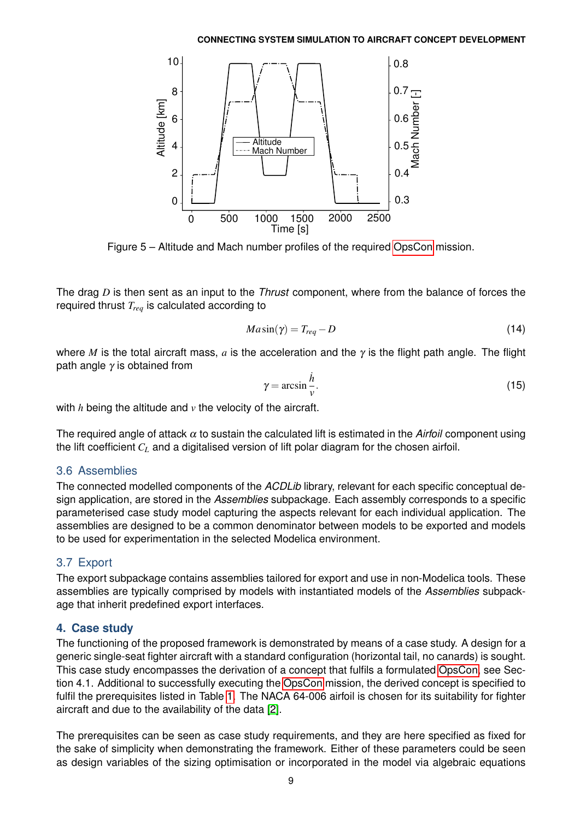<span id="page-8-0"></span>

Figure 5 – Altitude and Mach number profiles of the required [OpsCon](#page-0-0) mission.

The drag *D* is then sent as an input to the *Thrust* component, where from the balance of forces the required thrust *Treq* is calculated according to

$$
M a \sin(\gamma) = T_{req} - D \tag{14}
$$

where *M* is the total aircraft mass, *a* is the acceleration and the γ is the flight path angle. The flight path angle  $\gamma$  is obtained from

$$
\gamma = \arcsin \frac{h}{v}.\tag{15}
$$

with *h* being the altitude and *v* the velocity of the aircraft.

The required angle of attack  $\alpha$  to sustain the calculated lift is estimated in the *Airfoil* component using the lift coefficient *C<sup>L</sup>* and a digitalised version of lift polar diagram for the chosen airfoil.

# 3.6 Assemblies

The connected modelled components of the *ACDLib* library, relevant for each specific conceptual design application, are stored in the *Assemblies* subpackage. Each assembly corresponds to a specific parameterised case study model capturing the aspects relevant for each individual application. The assemblies are designed to be a common denominator between models to be exported and models to be used for experimentation in the selected Modelica environment.

# 3.7 Export

The export subpackage contains assemblies tailored for export and use in non-Modelica tools. These assemblies are typically comprised by models with instantiated models of the *Assemblies* subpackage that inherit predefined export interfaces.

# **4. Case study**

The functioning of the proposed framework is demonstrated by means of a case study. A design for a generic single-seat fighter aircraft with a standard configuration (horizontal tail, no canards) is sought. This case study encompasses the derivation of a concept that fulfils a formulated [OpsCon,](#page-0-0) see Section 4.1. Additional to successfully executing the [OpsCon](#page-0-0) mission, the derived concept is specified to fulfil the prerequisites listed in Table [1.](#page-6-0) The NACA 64-006 airfoil is chosen for its suitability for fighter aircraft and due to the availability of the data [\[2\]](#page-16-1).

The prerequisites can be seen as case study requirements, and they are here specified as fixed for the sake of simplicity when demonstrating the framework. Either of these parameters could be seen as design variables of the sizing optimisation or incorporated in the model via algebraic equations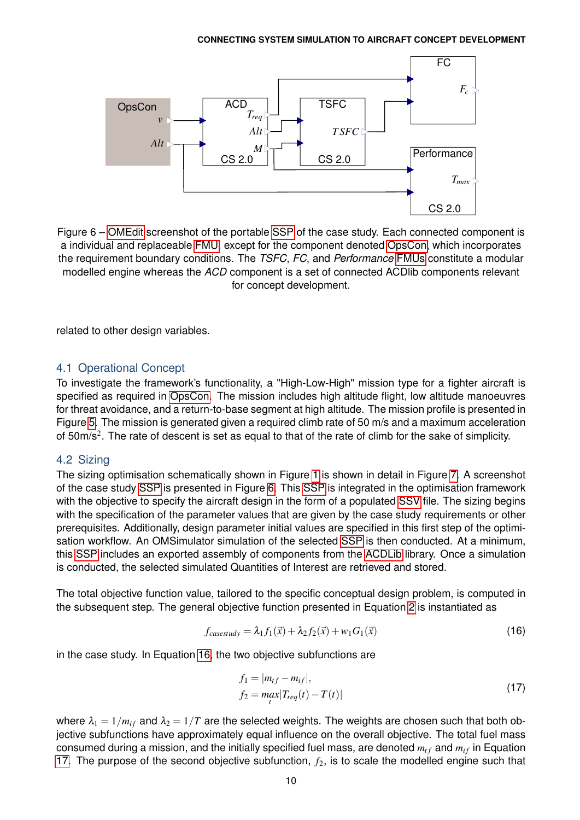<span id="page-9-0"></span>

Figure 6 – [OMEdit](#page-0-0) screenshot of the portable [SSP](#page-0-0) of the case study. Each connected component is a individual and replaceable [FMU,](#page-0-0) except for the component denoted [OpsCon,](#page-0-0) which incorporates the requirement boundary conditions. The *TSFC*, *FC*, and *Performance* [FMUs](#page-0-0) constitute a modular modelled engine whereas the *ACD* component is a set of connected ACDlib components relevant for concept development.

related to other design variables.

## 4.1 Operational Concept

To investigate the framework's functionality, a "High-Low-High" mission type for a fighter aircraft is specified as required in [OpsCon.](#page-0-0) The mission includes high altitude flight, low altitude manoeuvres for threat avoidance, and a return-to-base segment at high altitude. The mission profile is presented in Figure [5.](#page-8-0) The mission is generated given a required climb rate of 50 m/s and a maximum acceleration of 50m/s<sup>2</sup>. The rate of descent is set as equal to that of the rate of climb for the sake of simplicity.

### 4.2 Sizing

The sizing optimisation schematically shown in Figure [1](#page-3-0) is shown in detail in Figure [7.](#page-10-0) A screenshot of the case study [SSP](#page-0-0) is presented in Figure [6.](#page-9-0) This [SSP](#page-0-0) is integrated in the optimisation framework with the objective to specify the aircraft design in the form of a populated [SSV](#page-0-0) file. The sizing begins with the specification of the parameter values that are given by the case study requirements or other prerequisites. Additionally, design parameter initial values are specified in this first step of the optimisation workflow. An OMSimulator simulation of the selected [SSP](#page-0-0) is then conducted. At a minimum, this [SSP](#page-0-0) includes an exported assembly of components from the [ACDLib](#page-0-0) library. Once a simulation is conducted, the selected simulated Quantities of Interest are retrieved and stored.

The total objective function value, tailored to the specific conceptual design problem, is computed in the subsequent step. The general objective function presented in Equation [2](#page-1-0) is instantiated as

$$
f_{casesudy} = \lambda_1 f_1(\vec{x}) + \lambda_2 f_2(\vec{x}) + w_1 G_1(\vec{x})
$$
\n(16)

in the case study. In Equation [16,](#page-9-1) the two objective subfunctions are

<span id="page-9-2"></span><span id="page-9-1"></span>
$$
f_1 = |m_{tf} - m_{if}|,f_2 = max_{t} |T_{req}(t) - T(t)|
$$
\n(17)

where  $\lambda_1 = 1/m_i$  and  $\lambda_2 = 1/T$  are the selected weights. The weights are chosen such that both objective subfunctions have approximately equal influence on the overall objective. The total fuel mass consumed during a mission, and the initially specified fuel mass, are denoted  $m_{tf}$  and  $m_{if}$  in Equation [17.](#page-9-2) The purpose of the second objective subfunction,  $f_2$ , is to scale the modelled engine such that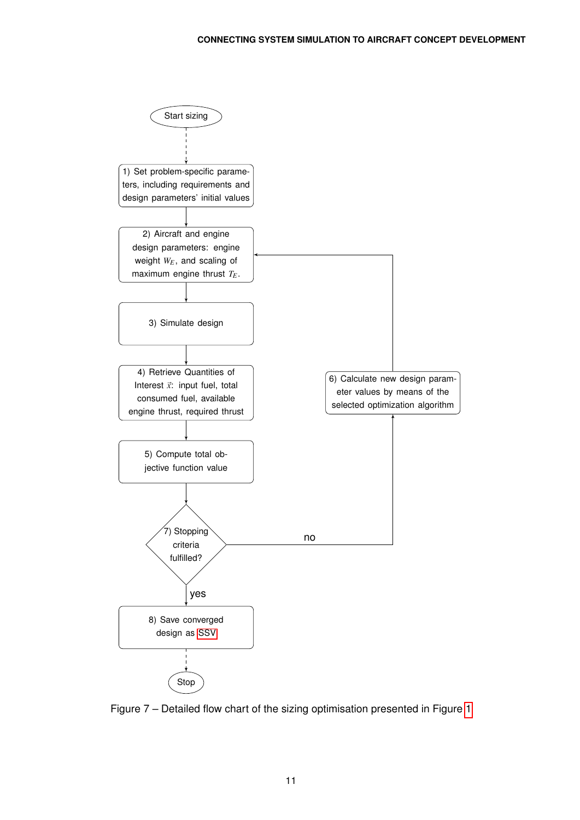<span id="page-10-0"></span>

Figure 7 – Detailed flow chart of the sizing optimisation presented in Figure [1](#page-3-0)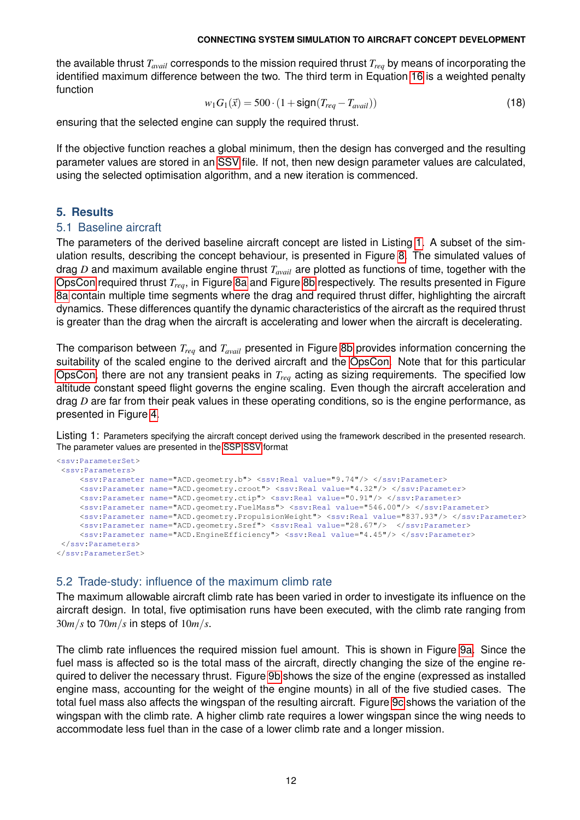the available thrust *Tavail* corresponds to the mission required thrust *Treq* by means of incorporating the identified maximum difference between the two. The third term in Equation [16](#page-9-1) is a weighted penalty function

$$
w_1 G_1(\vec{x}) = 500 \cdot (1 + \text{sign}(T_{req} - T_{avail}))
$$
\n(18)

ensuring that the selected engine can supply the required thrust.

If the objective function reaches a global minimum, then the design has converged and the resulting parameter values are stored in an [SSV](#page-0-0) file. If not, then new design parameter values are calculated, using the selected optimisation algorithm, and a new iteration is commenced.

# **5. Results**

## 5.1 Baseline aircraft

The parameters of the derived baseline aircraft concept are listed in Listing [1.](#page-11-0) A subset of the simulation results, describing the concept behaviour, is presented in Figure [8.](#page-12-0) The simulated values of drag *D* and maximum available engine thrust *Tavail* are plotted as functions of time, together with the [OpsCon](#page-0-0) required thrust *Treq*, in Figure [8a](#page-12-0) and Figure [8b](#page-12-0) respectively. The results presented in Figure [8a](#page-12-0) contain multiple time segments where the drag and required thrust differ, highlighting the aircraft dynamics. These differences quantify the dynamic characteristics of the aircraft as the required thrust is greater than the drag when the aircraft is accelerating and lower when the aircraft is decelerating.

The comparison between *Treq* and *Tavail* presented in Figure [8b](#page-12-0) provides information concerning the suitability of the scaled engine to the derived aircraft and the [OpsCon.](#page-0-0) Note that for this particular [OpsCon,](#page-0-0) there are not any transient peaks in *Treq* acting as sizing requirements. The specified low altitude constant speed flight governs the engine scaling. Even though the aircraft acceleration and drag *D* are far from their peak values in these operating conditions, so is the engine performance, as presented in Figure [4.](#page-7-0)

<span id="page-11-0"></span>Listing 1: Parameters specifying the aircraft concept derived using the framework described in the presented research. The parameter values are presented in the [SSP SSV](#page-0-0) format

```
<ssv:ParameterSet>
<ssv:Parameters>
    <ssv:Parameter name="ACD.geometry.b"> <ssv:Real value="9.74"/> </ssv:Parameter>
    <ssv:Parameter name="ACD.geometry.croot"> <ssv:Real value="4.32"/> </ssv:Parameter>
    <ssv:Parameter name="ACD.geometry.ctip"> <ssv:Real value="0.91"/> </ssv:Parameter>
    <ssv:Parameter name="ACD.geometry.FuelMass"> <ssv:Real value="546.00"/> </ssv:Parameter>
    <ssv:Parameter name="ACD.geometry.PropulsionWeight"> <ssv:Real value="837.93"/> </ssv:Parameter>
    <ssv:Parameter name="ACD.geometry.Sref"> <ssv:Real value="28.67"/> </ssv:Parameter>
    <ssv:Parameter name="ACD.EngineEfficiency"> <ssv:Real value="4.45"/> </ssv:Parameter>
</ssv:Parameters>
</ssv:ParameterSet>
```
# 5.2 Trade-study: influence of the maximum climb rate

The maximum allowable aircraft climb rate has been varied in order to investigate its influence on the aircraft design. In total, five optimisation runs have been executed, with the climb rate ranging from 30*m*/*s* to 70*m*/*s* in steps of 10*m*/*s*.

The climb rate influences the required mission fuel amount. This is shown in Figure [9a.](#page-12-1) Since the fuel mass is affected so is the total mass of the aircraft, directly changing the size of the engine required to deliver the necessary thrust. Figure [9b](#page-12-1) shows the size of the engine (expressed as installed engine mass, accounting for the weight of the engine mounts) in all of the five studied cases. The total fuel mass also affects the wingspan of the resulting aircraft. Figure [9c](#page-12-1) shows the variation of the wingspan with the climb rate. A higher climb rate requires a lower wingspan since the wing needs to accommodate less fuel than in the case of a lower climb rate and a longer mission.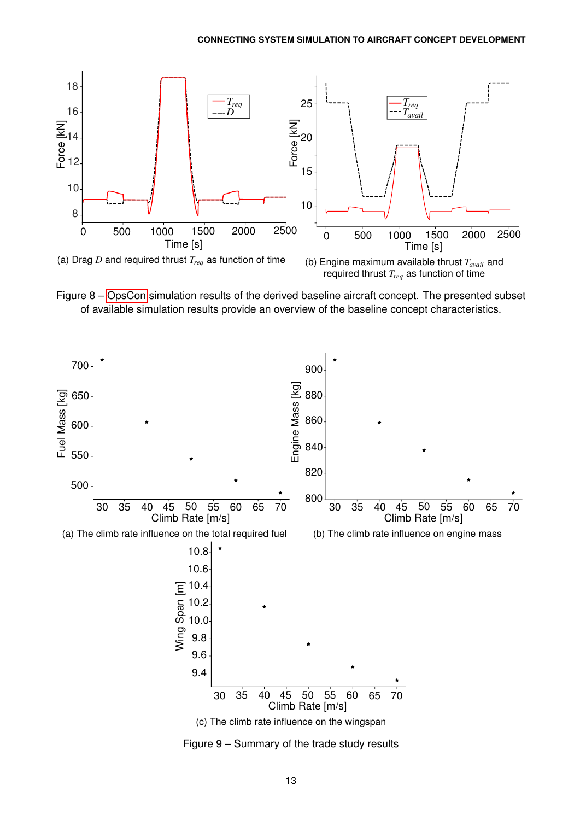<span id="page-12-0"></span>

Figure 8 – [OpsCon](#page-0-0) simulation results of the derived baseline aircraft concept. The presented subset of available simulation results provide an overview of the baseline concept characteristics.

<span id="page-12-1"></span>

Figure 9 – Summary of the trade study results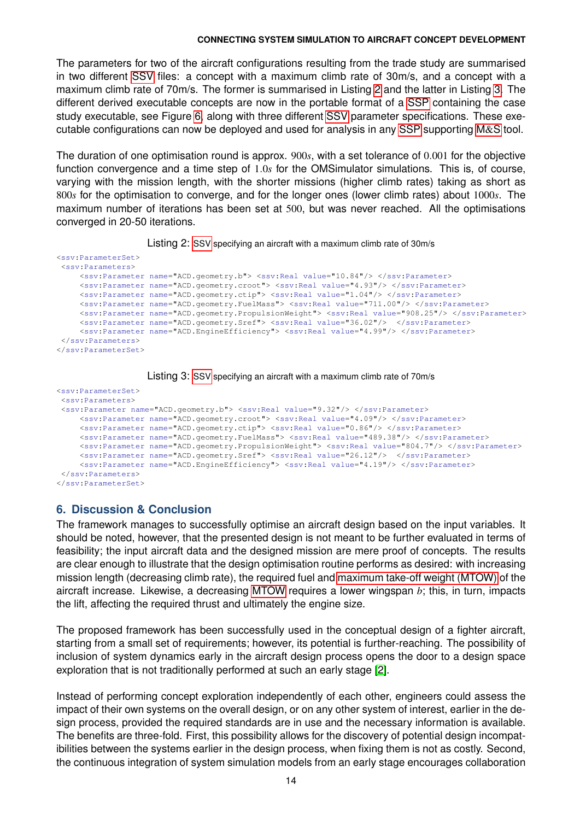The parameters for two of the aircraft configurations resulting from the trade study are summarised in two different [SSV](#page-0-0) files: a concept with a maximum climb rate of 30m/s, and a concept with a maximum climb rate of 70m/s. The former is summarised in Listing [2](#page-13-0) and the latter in Listing [3.](#page-13-1) The different derived executable concepts are now in the portable format of a [SSP](#page-0-0) containing the case study executable, see Figure [6,](#page-9-0) along with three different [SSV](#page-0-0) parameter specifications. These executable configurations can now be deployed and used for analysis in any [SSP](#page-0-0) supporting [M](#page-0-0)&S tool.

The duration of one optimisation round is approx. 900*s*, with a set tolerance of 0.001 for the objective function convergence and a time step of 1.0*s* for the OMSimulator simulations. This is, of course, varying with the mission length, with the shorter missions (higher climb rates) taking as short as 800*s* for the optimisation to converge, and for the longer ones (lower climb rates) about 1000*s*. The maximum number of iterations has been set at 500, but was never reached. All the optimisations converged in 20-50 iterations.



<span id="page-13-0"></span>

| <ssv:parameterset></ssv:parameterset> |                                                                                                            |
|---------------------------------------|------------------------------------------------------------------------------------------------------------|
| <ssv:parameters></ssv:parameters>     |                                                                                                            |
|                                       | <ssv:parameter name="ACD.geometry.b"> <ssv:real value="10.84"></ssv:real> </ssv:parameter>                 |
|                                       | <ssv:parameter name="ACD.geometry.croot"> <ssv:real value="4.93"></ssv:real> </ssv:parameter>              |
|                                       | <ssv:parameter name="ACD.geometry.ctip"> <ssv:real value="1.04"></ssv:real> </ssv:parameter>               |
|                                       | <ssv:parameter name="ACD.geometry.FuelMass"> <ssv:real value="711.00"></ssv:real> </ssv:parameter>         |
|                                       | <ssv:parameter name="ACD.geometry.PropulsionWeight"> <ssv:real value="908.25"></ssv:real> </ssv:parameter> |
|                                       | <ssv:parameter name="ACD.geometry.Sref"> <ssv:real value="36.02"></ssv:real> </ssv:parameter>              |
|                                       | <ssv:parameter name="ACD.EngineEfficiency"> <ssv:real value="4.99"></ssv:real> </ssv:parameter>            |
|                                       |                                                                                                            |
|                                       |                                                                                                            |



```
<ssv:ParameterSet>
<ssv:Parameters>
 <ssv:Parameter name="ACD.geometry.b"> <ssv:Real value="9.32"/> </ssv:Parameter>
    <ssv:Parameter name="ACD.geometry.croot"> <ssv:Real value="4.09"/> </ssv:Parameter>
    <ssv:Parameter name="ACD.geometry.ctip"> <ssv:Real value="0.86"/> </ssv:Parameter>
    <ssv:Parameter name="ACD.geometry.FuelMass"> <ssv:Real value="489.38"/> </ssv:Parameter>
    <ssv:Parameter name="ACD.geometry.PropulsionWeight"> <ssv:Real value="804.7"/> </ssv:Parameter>
    <ssv:Parameter name="ACD.geometry.Sref"> <ssv:Real value="26.12"/> </ssv:Parameter>
    <ssv:Parameter name="ACD.EngineEfficiency"> <ssv:Real value="4.19"/> </ssv:Parameter>
</ssv:Parameters>
</ssv:ParameterSet>
```
# **6. Discussion & Conclusion**

The framework manages to successfully optimise an aircraft design based on the input variables. It should be noted, however, that the presented design is not meant to be further evaluated in terms of feasibility; the input aircraft data and the designed mission are mere proof of concepts. The results are clear enough to illustrate that the design optimisation routine performs as desired: with increasing mission length (decreasing climb rate), the required fuel and [maximum take-off weight \(MTOW\)](#page-0-0) of the aircraft increase. Likewise, a decreasing [MTOW](#page-0-0) requires a lower wingspan *b*; this, in turn, impacts the lift, affecting the required thrust and ultimately the engine size.

The proposed framework has been successfully used in the conceptual design of a fighter aircraft, starting from a small set of requirements; however, its potential is further-reaching. The possibility of inclusion of system dynamics early in the aircraft design process opens the door to a design space exploration that is not traditionally performed at such an early stage [\[2\]](#page-16-1).

Instead of performing concept exploration independently of each other, engineers could assess the impact of their own systems on the overall design, or on any other system of interest, earlier in the design process, provided the required standards are in use and the necessary information is available. The benefits are three-fold. First, this possibility allows for the discovery of potential design incompatibilities between the systems earlier in the design process, when fixing them is not as costly. Second, the continuous integration of system simulation models from an early stage encourages collaboration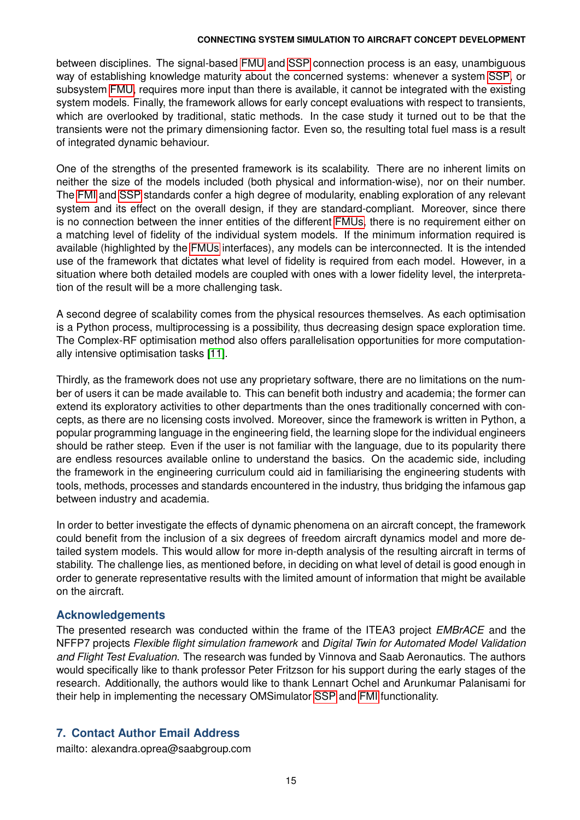between disciplines. The signal-based [FMU](#page-0-0) and [SSP](#page-0-0) connection process is an easy, unambiguous way of establishing knowledge maturity about the concerned systems: whenever a system [SSP,](#page-0-0) or subsystem [FMU,](#page-0-0) requires more input than there is available, it cannot be integrated with the existing system models. Finally, the framework allows for early concept evaluations with respect to transients, which are overlooked by traditional, static methods. In the case study it turned out to be that the transients were not the primary dimensioning factor. Even so, the resulting total fuel mass is a result of integrated dynamic behaviour.

One of the strengths of the presented framework is its scalability. There are no inherent limits on neither the size of the models included (both physical and information-wise), nor on their number. The [FMI](#page-0-0) and [SSP](#page-0-0) standards confer a high degree of modularity, enabling exploration of any relevant system and its effect on the overall design, if they are standard-compliant. Moreover, since there is no connection between the inner entities of the different [FMUs,](#page-0-0) there is no requirement either on a matching level of fidelity of the individual system models. If the minimum information required is available (highlighted by the [FMUs](#page-0-0) interfaces), any models can be interconnected. It is the intended use of the framework that dictates what level of fidelity is required from each model. However, in a situation where both detailed models are coupled with ones with a lower fidelity level, the interpretation of the result will be a more challenging task.

A second degree of scalability comes from the physical resources themselves. As each optimisation is a Python process, multiprocessing is a possibility, thus decreasing design space exploration time. The Complex-RF optimisation method also offers parallelisation opportunities for more computationally intensive optimisation tasks [\[11\]](#page-16-10).

Thirdly, as the framework does not use any proprietary software, there are no limitations on the number of users it can be made available to. This can benefit both industry and academia; the former can extend its exploratory activities to other departments than the ones traditionally concerned with concepts, as there are no licensing costs involved. Moreover, since the framework is written in Python, a popular programming language in the engineering field, the learning slope for the individual engineers should be rather steep. Even if the user is not familiar with the language, due to its popularity there are endless resources available online to understand the basics. On the academic side, including the framework in the engineering curriculum could aid in familiarising the engineering students with tools, methods, processes and standards encountered in the industry, thus bridging the infamous gap between industry and academia.

In order to better investigate the effects of dynamic phenomena on an aircraft concept, the framework could benefit from the inclusion of a six degrees of freedom aircraft dynamics model and more detailed system models. This would allow for more in-depth analysis of the resulting aircraft in terms of stability. The challenge lies, as mentioned before, in deciding on what level of detail is good enough in order to generate representative results with the limited amount of information that might be available on the aircraft.

### **Acknowledgements**

The presented research was conducted within the frame of the ITEA3 project *EMBrACE* and the NFFP7 projects *Flexible flight simulation framework* and *Digital Twin for Automated Model Validation and Flight Test Evaluation*. The research was funded by Vinnova and Saab Aeronautics. The authors would specifically like to thank professor Peter Fritzson for his support during the early stages of the research. Additionally, the authors would like to thank Lennart Ochel and Arunkumar Palanisami for their help in implementing the necessary OMSimulator [SSP](#page-0-0) and [FMI](#page-0-0) functionality.

### **7. Contact Author Email Address**

mailto: alexandra.oprea@saabgroup.com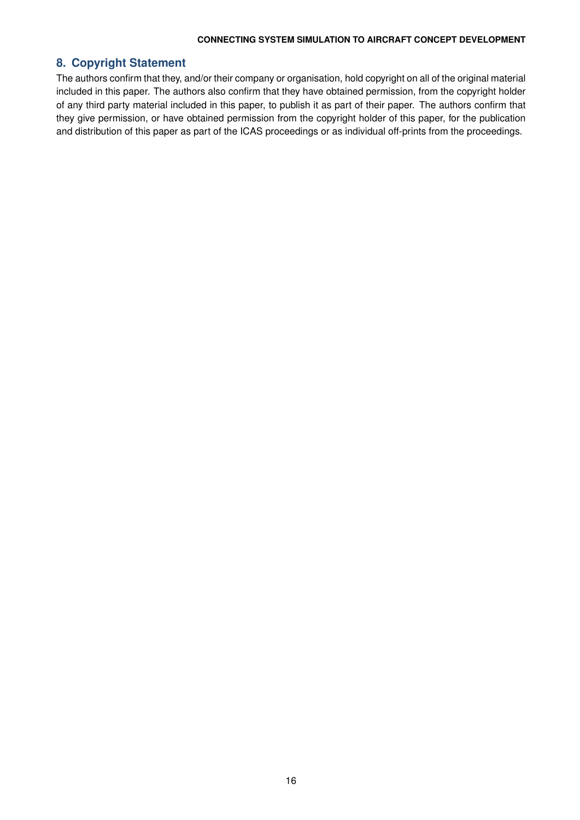### **8. Copyright Statement**

The authors confirm that they, and/or their company or organisation, hold copyright on all of the original material included in this paper. The authors also confirm that they have obtained permission, from the copyright holder of any third party material included in this paper, to publish it as part of their paper. The authors confirm that they give permission, or have obtained permission from the copyright holder of this paper, for the publication and distribution of this paper as part of the ICAS proceedings or as individual off-prints from the proceedings.